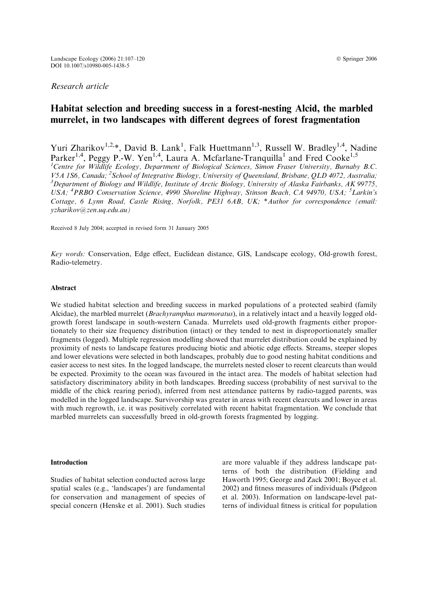## Research article

# Habitat selection and breeding success in a forest-nesting Alcid, the marbled murrelet, in two landscapes with different degrees of forest fragmentation

Yuri Zharikov<sup>1,2,\*</sup>, David B. Lank<sup>1</sup>, Falk Huettmann<sup>1,3</sup>, Russell W. Bradley<sup>1,4</sup>, Nadine Parker<sup>1,4</sup>, Peggy P.-W. Yen<sup>1,4</sup>, Laura A. Mcfarlane-Tranquilla<sup>1</sup> and Fred Cooke<sup>1,5</sup> <sup>1</sup>Centre for Wildlife Ecology, Department of Biological Sciences, Simon Fraser University, Burnaby B.C. V5A 1S6, Canada; <sup>2</sup> School of Integrative Biology, University of Queensland, Brisbane, QLD 4072, Australia; <sup>3</sup>Department of Biology and Wildlife, Institute of Arctic Biology, University of Alaska Fairbanks, AK 99775, USA; <sup>4</sup>PRBO Conservation Science, 4990 Shoreline Highway, Stinson Beach, CA 94970, USA; <sup>5</sup>Larkin's Cottage, 6 Lynn Road, Castle Rising, Norfolk, PE31 6AB, UK; \*Author for correspondence (email: yzharikov@zen.uq.edu.au)

Received 8 July 2004; accepted in revised form 31 January 2005

Key words: Conservation, Edge effect, Euclidean distance, GIS, Landscape ecology, Old-growth forest, Radio-telemetry.

#### Abstract

We studied habitat selection and breeding success in marked populations of a protected seabird (family Alcidae), the marbled murrelet (Brachyramphus marmoratus), in a relatively intact and a heavily logged oldgrowth forest landscape in south-western Canada. Murrelets used old-growth fragments either proportionately to their size frequency distribution (intact) or they tended to nest in disproportionately smaller fragments (logged). Multiple regression modelling showed that murrelet distribution could be explained by proximity of nests to landscape features producing biotic and abiotic edge effects. Streams, steeper slopes and lower elevations were selected in both landscapes, probably due to good nesting habitat conditions and easier access to nest sites. In the logged landscape, the murrelets nested closer to recent clearcuts than would be expected. Proximity to the ocean was favoured in the intact area. The models of habitat selection had satisfactory discriminatory ability in both landscapes. Breeding success (probability of nest survival to the middle of the chick rearing period), inferred from nest attendance patterns by radio-tagged parents, was modelled in the logged landscape. Survivorship was greater in areas with recent clearcuts and lower in areas with much regrowth, i.e. it was positively correlated with recent habitat fragmentation. We conclude that marbled murrelets can successfully breed in old-growth forests fragmented by logging.

#### Introduction

Studies of habitat selection conducted across large spatial scales (e.g., 'landscapes') are fundamental for conservation and management of species of special concern (Henske et al. 2001). Such studies

are more valuable if they address landscape patterns of both the distribution (Fielding and Haworth 1995; George and Zack 2001; Boyce et al. 2002) and fitness measures of individuals (Pidgeon et al. 2003). Information on landscape-level patterns of individual fitness is critical for population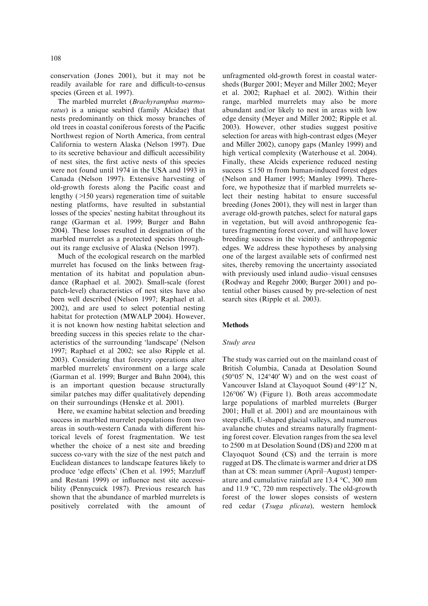conservation (Jones 2001), but it may not be readily available for rare and difficult-to-census species (Green et al. 1997).

The marbled murrelet (Brachyramphus marmoratus) is a unique seabird (family Alcidae) that nests predominantly on thick mossy branches of old trees in coastal coniferous forests of the Pacific Northwest region of North America, from central California to western Alaska (Nelson 1997). Due to its secretive behaviour and difficult accessibility of nest sites, the first active nests of this species were not found until 1974 in the USA and 1993 in Canada (Nelson 1997). Extensive harvesting of old-growth forests along the Pacific coast and lengthy (>150 years) regeneration time of suitable nesting platforms, have resulted in substantial losses of the species' nesting habitat throughout its range (Garman et al. 1999; Burger and Bahn 2004). These losses resulted in designation of the marbled murrelet as a protected species throughout its range exclusive of Alaska (Nelson 1997).

Much of the ecological research on the marbled murrelet has focused on the links between fragmentation of its habitat and population abundance (Raphael et al. 2002). Small-scale (forest patch-level) characteristics of nest sites have also been well described (Nelson 1997; Raphael et al. 2002), and are used to select potential nesting habitat for protection (MWALP 2004). However, it is not known how nesting habitat selection and breeding success in this species relate to the characteristics of the surrounding 'landscape' (Nelson 1997; Raphael et al 2002; see also Ripple et al. 2003). Considering that forestry operations alter marbled murrelets' environment on a large scale (Garman et al. 1999; Burger and Bahn 2004), this is an important question because structurally similar patches may differ qualitatively depending on their surroundings (Henske et al. 2001).

Here, we examine habitat selection and breeding success in marbled murrelet populations from two areas in south-western Canada with different historical levels of forest fragmentation. We test whether the choice of a nest site and breeding success co-vary with the size of the nest patch and Euclidean distances to landscape features likely to produce 'edge effects' (Chen et al. 1995; Marzluff and Restani 1999) or influence nest site accessibility (Pennycuick 1987). Previous research has shown that the abundance of marbled murrelets is positively correlated with the amount of

unfragmented old-growth forest in coastal watersheds (Burger 2001; Meyer and Miller 2002; Meyer et al. 2002; Raphael et al. 2002). Within their range, marbled murrelets may also be more abundant and/or likely to nest in areas with low edge density (Meyer and Miller 2002; Ripple et al. 2003). However, other studies suggest positive selection for areas with high-contrast edges (Meyer and Miller 2002), canopy gaps (Manley 1999) and high vertical complexity (Waterhouse et al. 2004). Finally, these Alcids experience reduced nesting success  $\leq 150$  m from human-induced forest edges (Nelson and Hamer 1995; Manley 1999). Therefore, we hypothesize that if marbled murrelets select their nesting habitat to ensure successful breeding (Jones 2001), they will nest in larger than average old-growth patches, select for natural gaps in vegetation, but will avoid anthropogenic features fragmenting forest cover, and will have lower breeding success in the vicinity of anthropogenic edges. We address these hypotheses by analysing one of the largest available sets of confirmed nest sites, thereby removing the uncertainty associated with previously used inland audio–visual censuses (Rodway and Regehr 2000; Burger 2001) and potential other biases caused by pre-selection of nest search sites (Ripple et al. 2003).

#### Methods

#### Study area

The study was carried out on the mainland coast of British Columbia, Canada at Desolation Sound  $(50^{\circ}05' \text{ N}, 124^{\circ}40' \text{ W})$  and on the west coast of Vancouver Island at Clayoquot Sound (49°12' N, 126°06′ W) (Figure 1). Both areas accommodate large populations of marbled murrelets (Burger 2001; Hull et al. 2001) and are mountainous with steep cliffs, U-shaped glacial valleys, and numerous avalanche chutes and streams naturally fragmenting forest cover. Elevation ranges from the sea level to 2500 m at Desolation Sound (DS) and 2200 m at Clayoquot Sound (CS) and the terrain is more rugged at DS. The climate is warmer and drier at DS than at CS: mean summer (April–August) temperature and cumulative rainfall are  $13.4 \text{ °C}$ ,  $300 \text{ mm}$ and  $11.9 \text{ °C}$ , 720 mm respectively. The old-growth forest of the lower slopes consists of western red cedar (Tsuga plicata), western hemlock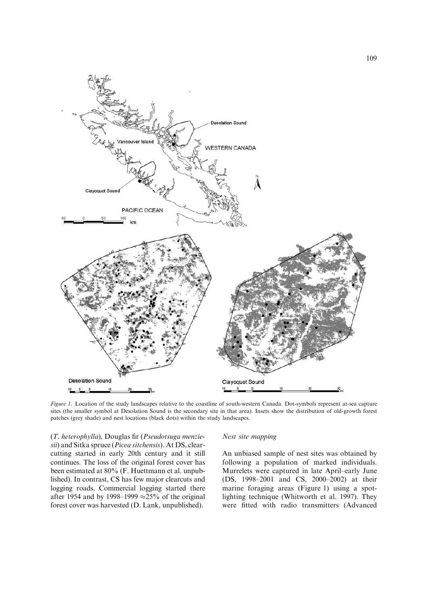

Figure 1. Location of the study landscapes relative to the coastline of south-western Canada. Dot-symbols represent at-sea capture sites (the smaller symbol at Desolation Sound is the secondary site in that area). Insets show the distribution of old-growth forest patches (grey shade) and nest locations (black dots) within the study landscapes.

(T. heterophylla), Douglas fir (Pseudotsuga menziesii) and Sitka spruce (Picea sitchensis). At DS, clearcutting started in early 20th century and it still continues. The loss of the original forest cover has been estimated at 80% (F. Huettmann et al. unpublished). In contrast, CS has few major clearcuts and logging roads. Commercial logging started there after 1954 and by 1998–1999  $\approx$ 25% of the original forest cover was harvested (D. Lank, unpublished).

### Nest site mapping

An unbiased sample of nest sites was obtained by following a population of marked individuals. Murrelets were captured in late April–early June (DS, 1998–2001 and CS, 2000–2002) at their marine foraging areas (Figure 1) using a spotlighting technique (Whitworth et al. 1997). They were fitted with radio transmitters (Advanced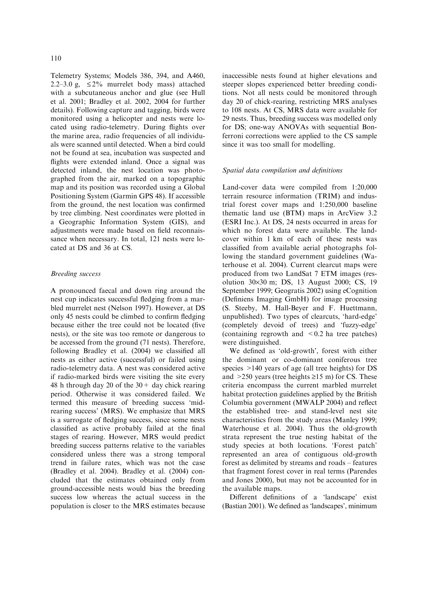Telemetry Systems; Models 386, 394, and A460, 2.2–3.0 g,  $\leq 2\%$  murrelet body mass) attached with a subcutaneous anchor and glue (see Hull et al. 2001; Bradley et al. 2002, 2004 for further details). Following capture and tagging, birds were monitored using a helicopter and nests were located using radio-telemetry. During flights over the marine area, radio frequencies of all individuals were scanned until detected. When a bird could not be found at sea, incubation was suspected and flights were extended inland. Once a signal was detected inland, the nest location was photographed from the air, marked on a topographic map and its position was recorded using a Global Positioning System (Garmin GPS 48). If accessible from the ground, the nest location was confirmed by tree climbing. Nest coordinates were plotted in a Geographic Information System (GIS), and adjustments were made based on field reconnaissance when necessary. In total, 121 nests were located at DS and 36 at CS.

### Breeding success

A pronounced faecal and down ring around the nest cup indicates successful fledging from a marbled murrelet nest (Nelson 1997). However, at DS only 45 nests could be climbed to confirm fledging because either the tree could not be located (five nests), or the site was too remote or dangerous to be accessed from the ground (71 nests). Therefore, following Bradley et al. (2004) we classified all nests as either active (successful) or failed using radio-telemetry data. A nest was considered active if radio-marked birds were visiting the site every 48 h through day 20 of the  $30 +$  day chick rearing period. Otherwise it was considered failed. We termed this measure of breeding success 'midrearing success' (MRS). We emphasize that MRS is a surrogate of fledging success, since some nests classified as active probably failed at the final stages of rearing. However, MRS would predict breeding success patterns relative to the variables considered unless there was a strong temporal trend in failure rates, which was not the case (Bradley et al. 2004). Bradley et al. (2004) concluded that the estimates obtained only from ground-accessible nests would bias the breeding success low whereas the actual success in the population is closer to the MRS estimates because

inaccessible nests found at higher elevations and steeper slopes experienced better breeding conditions. Not all nests could be monitored through day 20 of chick-rearing, restricting MRS analyses to 108 nests. At CS, MRS data were available for 29 nests. Thus, breeding success was modelled only for DS; one-way ANOVAs with sequential Bonferroni corrections were applied to the CS sample since it was too small for modelling.

## Spatial data compilation and definitions

Land-cover data were compiled from 1:20,000 terrain resource information (TRIM) and industrial forest cover maps and 1:250,000 baseline thematic land use (BTM) maps in ArcView 3.2 (ESRI Inc.). At DS, 24 nests occurred in areas for which no forest data were available. The landcover within 1 km of each of these nests was classified from available aerial photographs following the standard government guidelines (Waterhouse et al. 2004). Current clearcut maps were produced from two LandSat 7 ETM images (resolution 30·30 m; DS, 13 August 2000; CS, 19 September 1999; Geogratis 2002) using eCognition (Definiens Imaging GmbH) for image processing (S. Steeby, M. Hall-Beyer and F. Huettmann, unpublished). Two types of clearcuts, 'hard-edge' (completely devoid of trees) and 'fuzzy-edge' (containing regrowth and  $\leq 0.2$  ha tree patches) were distinguished.

We defined as 'old-growth', forest with either the dominant or co-dominant coniferous tree species >140 years of age (all tree heights) for DS and  $>250$  years (tree heights  $\geq 15$  m) for CS. These criteria encompass the current marbled murrelet habitat protection guidelines applied by the British Columbia government (MWALP 2004) and reflect the established tree- and stand-level nest site characteristics from the study areas (Manley 1999; Waterhouse et al. 2004). Thus the old-growth strata represent the true nesting habitat of the study species at both locations. 'Forest patch' represented an area of contiguous old-growth forest as delimited by streams and roads – features that fragment forest cover in real terms (Parendes and Jones 2000), but may not be accounted for in the available maps.

Different definitions of a 'landscape' exist (Bastian 2001). We defined as 'landscapes', minimum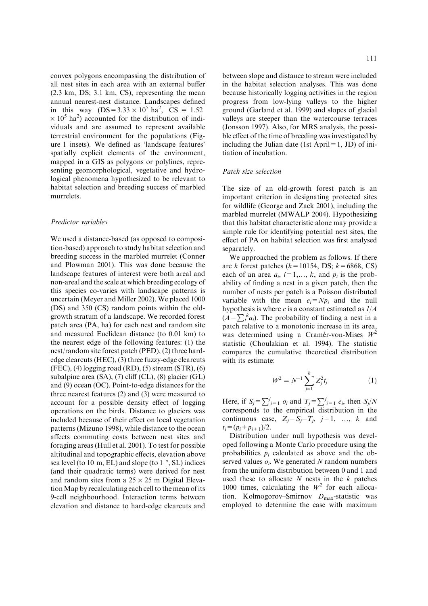convex polygons encompassing the distribution of all nest sites in each area with an external buffer (2.3 km, DS; 3.1 km, CS), representing the mean annual nearest-nest distance. Landscapes defined in this way  $(DS = 3.33 \times 10^5 \text{ ha}^2$ ,  $\text{CS} = 1.52$  $\times$  10<sup>5</sup> ha<sup>2</sup>) accounted for the distribution of individuals and are assumed to represent available terrestrial environment for the populations (Figure 1 insets). We defined as 'landscape features' spatially explicit elements of the environment, mapped in a GIS as polygons or polylines, representing geomorphological, vegetative and hydrological phenomena hypothesized to be relevant to habitat selection and breeding success of marbled murrelets.

#### Predictor variables

We used a distance-based (as opposed to composition-based) approach to study habitat selection and breeding success in the marbled murrelet (Conner and Plowman 2001). This was done because the landscape features of interest were both areal and non-areal and the scale at which breeding ecology of this species co-varies with landscape patterns is uncertain (Meyer and Miller 2002). We placed 1000 (DS) and 350 (CS) random points within the oldgrowth stratum of a landscape. We recorded forest patch area (PA, ha) for each nest and random site and measured Euclidean distance (to 0.01 km) to the nearest edge of the following features: (1) the nest/random site forest patch (PED), (2) three hardedge clearcuts (HEC), (3) three fuzzy-edge clearcuts  $(FEC)$ , (4) logging road  $(RD)$ , (5) stream  $(STR)$ , (6) subalpine area (SA), (7) cliff (CL), (8) glacier (GL) and (9) ocean (OC). Point-to-edge distances for the three nearest features (2) and (3) were measured to account for a possible density effect of logging operations on the birds. Distance to glaciers was included because of their effect on local vegetation patterns (Mizuno 1998), while distance to the ocean affects commuting costs between nest sites and foraging areas (Hull et al. 2001). To test for possible altitudinal and topographic effects, elevation above sea level (to 10 m, EL) and slope (to  $1\degree$ , SL) indices (and their quadratic terms) were derived for nest and random sites from a  $25 \times 25$  m Digital ElevationMap by recalculating each cell to the mean of its 9-cell neighbourhood. Interaction terms between elevation and distance to hard-edge clearcuts and

between slope and distance to stream were included in the habitat selection analyses. This was done because historically logging activities in the region progress from low-lying valleys to the higher ground (Garland et al. 1999) and slopes of glacial valleys are steeper than the watercourse terraces (Jonsson 1997). Also, for MRS analysis, the possible effect of the time of breeding was investigated by including the Julian date (1st April=1, JD) of initiation of incubation.

#### Patch size selection

The size of an old-growth forest patch is an important criterion in designating protected sites for wildlife (George and Zack 2001), including the marbled murrelet (MWALP 2004). Hypothesizing that this habitat characteristic alone may provide a simple rule for identifying potential nest sites, the effect of PA on habitat selection was first analysed separately.

We approached the problem as follows. If there are k forest patches ( $k=10154$ , DS;  $k=6868$ , CS) each of an area  $a_i$ ,  $i=1,\ldots,k$ , and  $p_i$  is the probability of finding a nest in a given patch, then the number of nests per patch is a Poisson distributed variable with the mean  $e_i = Np_i$  and the null hypothesis is where c is a constant estimated as  $1/A$  $(A = \sum_{i}^{k} a_i)$ . The probability of finding a nest in a patch relative to a monotonic increase in its area, was determined using a Cramér-von-Mises  $W^2$ statistic (Choulakian et al. 1994). The statistic compares the cumulative theoretical distribution with its estimate:

$$
W^2 = N^{-1} \sum_{j=1}^k Z_j^2 t_j \tag{1}
$$

Here, if  $S_j = \sum_{i=1}^j o_i$  and  $T_j = \sum_{i=1}^j e_i$ , then  $S_j/N$ corresponds to the empirical distribution in the continuous case,  $Z_j = S_j - T_j$ ,  $j = 1$ , ..., k and  $t_i = (p_i + p_{i+1})/2$ .

Distribution under null hypothesis was developed following a Monte Carlo procedure using the probabilities  $p_i$  calculated as above and the observed values  $o_i$ . We generated N random numbers from the uniform distribution between 0 and 1 and used these to allocate  $N$  nests in the  $k$  patches 1000 times, calculating the  $W^2$  for each allocation. Kolmogorov–Smirnov  $D_{\text{max}}$ -statistic was employed to determine the case with maximum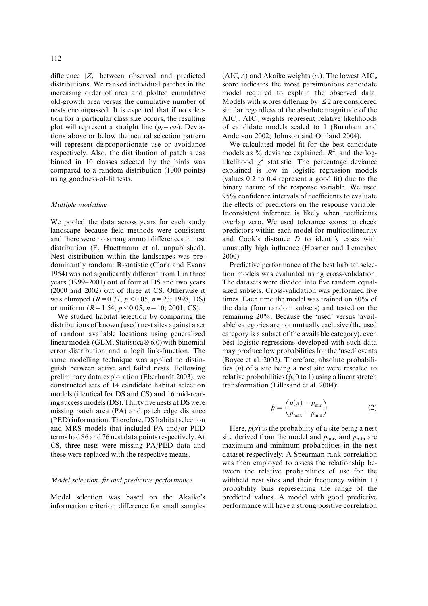difference  $|Z_i|$  between observed and predicted distributions. We ranked individual patches in the increasing order of area and plotted cumulative old-growth area versus the cumulative number of nests encompassed. It is expected that if no selection for a particular class size occurs, the resulting plot will represent a straight line  $(p_i = ca_i)$ . Deviations above or below the neutral selection pattern will represent disproportionate use or avoidance respectively. Also, the distribution of patch areas binned in 10 classes selected by the birds was compared to a random distribution (1000 points) using goodness-of-fit tests.

#### Multiple modelling

We pooled the data across years for each study landscape because field methods were consistent and there were no strong annual differences in nest distribution (F. Huettmann et al. unpublished). Nest distribution within the landscapes was predominantly random: R-statistic (Clark and Evans 1954) was not significantly different from 1 in three years (1999–2001) out of four at DS and two years (2000 and 2002) out of three at CS. Otherwise it was clumped ( $R=0.77$ ,  $p < 0.05$ ,  $n=23$ ; 1998, DS) or uniform  $(R=1.54, p<0.05, n=10; 2001, CS)$ .

We studied habitat selection by comparing the distributions of known (used) nest sites against a set of random available locations using generalized linear models (GLM, Statistica $\mathcal D$  6.0) with binomial error distribution and a logit link-function. The same modelling technique was applied to distinguish between active and failed nests. Following preliminary data exploration (Eberhardt 2003), we constructed sets of 14 candidate habitat selection models (identical for DS and CS) and 16 mid-rearing success models (DS). Thirty five nests at DS were missing patch area (PA) and patch edge distance (PED) information. Therefore, DS habitat selection and MRS models that included PA and/or PED terms had 86 and 76 nest data points respectively. At CS, three nests were missing PA/PED data and these were replaced with the respective means.

#### Model selection, fit and predictive performance

Model selection was based on the Akaike's information criterion difference for small samples  $(AIC<sub>c</sub>\Delta)$  and Akaike weights ( $\omega$ ). The lowest AIC<sub>c</sub> score indicates the most parsimonious candidate model required to explain the observed data. Models with scores differing by  $\leq 2$  are considered similar regardless of the absolute magnitude of the AIC<sub>c</sub>. AIC<sub>c</sub> weights represent relative likelihoods of candidate models scaled to 1 (Burnham and Anderson 2002; Johnson and Omland 2004).

We calculated model fit for the best candidate models as % deviance explained,  $R^2$ , and the loglikelihood  $\chi^2$  statistic. The percentage deviance explained is low in logistic regression models (values 0.2 to 0.4 represent a good fit) due to the binary nature of the response variable. We used 95% confidence intervals of coefficients to evaluate the effects of predictors on the response variable. Inconsistent inference is likely when coefficients overlap zero. We used tolerance scores to check predictors within each model for multicollinearity and Cook's distance  $D$  to identify cases with unusually high influence (Hosmer and Lemeshev 2000).

Predictive performance of the best habitat selection models was evaluated using cross-validation. The datasets were divided into five random equalsized subsets. Cross-validation was performed five times. Each time the model was trained on 80% of the data (four random subsets) and tested on the remaining 20%. Because the 'used' versus 'available' categories are not mutually exclusive (the used category is a subset of the available category), even best logistic regressions developed with such data may produce low probabilities for the 'used' events (Boyce et al. 2002). Therefore, absolute probabilities  $(p)$  of a site being a nest site were rescaled to relative probabilities  $(\hat{p}, 0 \text{ to } 1)$  using a linear stretch transformation (Lillesand et al. 2004):

$$
\hat{p} = \left(\frac{p(x) - p_{\min}}{p_{\max} - p_{\min}}\right) \tag{2}
$$

Here,  $p(x)$  is the probability of a site being a nest site derived from the model and  $p_{\text{max}}$  and  $p_{\text{min}}$  are maximum and minimum probabilities in the nest dataset respectively. A Spearman rank correlation was then employed to assess the relationship between the relative probabilities of use for the withheld nest sites and their frequency within 10 probability bins representing the range of the predicted values. A model with good predictive performance will have a strong positive correlation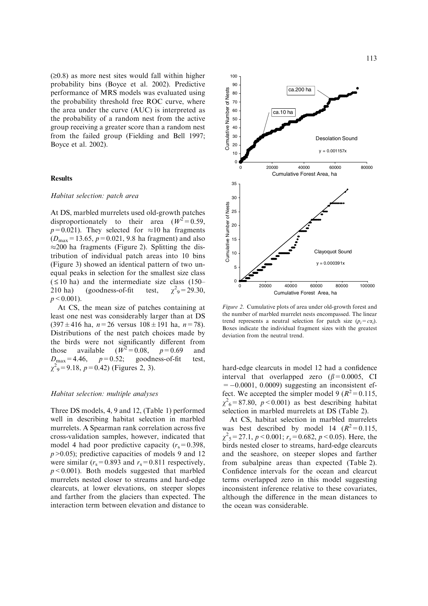$(\geq 0.8)$  as more nest sites would fall within higher probability bins (Boyce et al. 2002). Predictive performance of MRS models was evaluated using the probability threshold free ROC curve, where the area under the curve (AUC) is interpreted as the probability of a random nest from the active group receiving a greater score than a random nest from the failed group (Fielding and Bell 1997; Boyce et al. 2002).

## Results

#### Habitat selection: patch area

At DS, marbled murrelets used old-growth patches disproportionately to their area  $(W^2 = 0.59)$ ,  $p=0.021$ ). They selected for  $\approx 10$  ha fragments  $(D_{\text{max}}=13.65, p=0.021, 9.8 \text{ ha fragment})$  and also  $\approx$  200 ha fragments (Figure 2). Splitting the distribution of individual patch areas into 10 bins (Figure 3) showed an identical pattern of two unequal peaks in selection for the smallest size class  $( \leq 10 \text{ ha})$  and the intermediate size class  $(150 210$  ha) (goodness-of-fit test,  $\gamma^2$ <sub>9</sub> = 29.30,  $p \leq 0.001$ .

At CS, the mean size of patches containing at least one nest was considerably larger than at DS  $(397 \pm 416 \text{ ha}, n=26 \text{ versus } 108 \pm 191 \text{ ha}, n=78)$ . Distributions of the nest patch choices made by the birds were not significantly different from<br>those available  $(W^2 = 0.08, p = 0.69$  and those available  $p = 0.69$  and  $D_{\text{max}}=4.46$ ,  $p=0.52$ ; goodness-of-fit test,  $\chi^2$ <sub>9</sub> = 9.18, p = 0.42) (Figures 2, 3).

#### Habitat selection: multiple analyses

Three DS models, 4, 9 and 12, (Table 1) performed well in describing habitat selection in marbled murrelets. A Spearman rank correlation across five cross-validation samples, however, indicated that model 4 had poor predictive capacity  $(r_s=0.398,$  $p > 0.05$ ; predictive capacities of models 9 and 12 were similar  $(r_s=0.893$  and  $r_s=0.811$  respectively,  $p < 0.001$ ). Both models suggested that marbled murrelets nested closer to streams and hard-edge clearcuts, at lower elevations, on steeper slopes and farther from the glaciers than expected. The interaction term between elevation and distance to



Figure 2. Cumulative plots of area under old-growth forest and the number of marbled murrelet nests encompassed. The linear trend represents a neutral selection for patch size  $(p_i = c\alpha_i)$ . Boxes indicate the individual fragment sizes with the greatest deviation from the neutral trend.

hard-edge clearcuts in model 12 had a confidence interval that overlapped zero  $(\beta = 0.0005, \text{ CI})$  $= -0.0001, 0.0009$  suggesting an inconsistent effect. We accepted the simpler model 9 ( $R^2$  = 0.115,  $\chi^2$ <sub>6</sub> = 87.80,  $p$  < 0.001) as best describing habitat selection in marbled murrelets at DS (Table 2).

At CS, habitat selection in marbled murrelets was best described by model 14  $(R^2=0.115,$  $\chi^2$ <sub>5</sub> = 27.1, *p* < 0.001; *r<sub>s</sub>* = 0.682, *p* < 0.05). Here, the birds nested closer to streams, hard-edge clearcuts and the seashore, on steeper slopes and farther from subalpine areas than expected (Table 2). Confidence intervals for the ocean and clearcut terms overlapped zero in this model suggesting inconsistent inference relative to these covariates, although the difference in the mean distances to the ocean was considerable.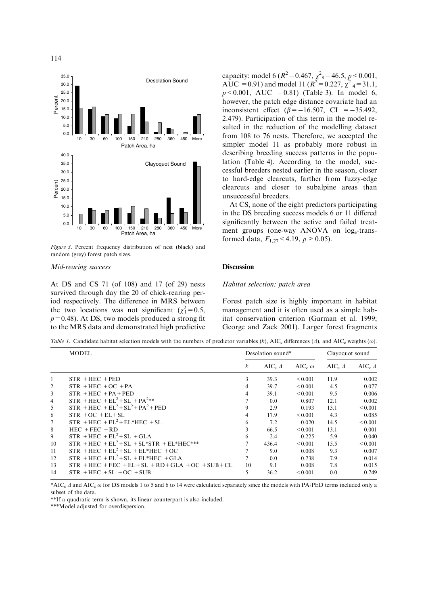

Figure 3. Percent frequency distribution of nest (black) and random (grey) forest patch sizes.

#### Mid-rearing success

At DS and CS 71 (of 108) and 17 (of 29) nests survived through day the 20 of chick-rearing period respectively. The difference in MRS between the two locations was not significant  $(\chi_1^2 = 0.5,$  $p=0.48$ ). At DS, two models produced a strong fit to the MRS data and demonstrated high predictive

capacity: model 6 ( $R^2$  = 0.467,  $\chi^2$ <sub>8</sub> = 46.5, *p* < 0.001, AUC = 0.91) and model 11 ( $R^2 = 0.227$ ,  $\chi^2$  <sub>4</sub> = 31.1,  $p < 0.001$ , AUC = 0.81) (Table 3). In model 6, however, the patch edge distance covariate had an inconsistent effect  $(\beta = -16.507, \text{ CI} = -35.492,$ 2.479). Participation of this term in the model resulted in the reduction of the modelling dataset from 108 to 76 nests. Therefore, we accepted the simpler model 11 as probably more robust in describing breeding success patterns in the population (Table 4). According to the model, successful breeders nested earlier in the season, closer to hard-edge clearcuts, farther from fuzzy-edge clearcuts and closer to subalpine areas than unsuccessful breeders.

At CS, none of the eight predictors participating in the DS breeding success models 6 or 11 differed significantly between the active and failed treatment groups (one-way ANOVA on loge-transformed data,  $F_{1,27}$  < 4.19,  $p \ge 0.05$ ).

#### **Discussion**

#### Habitat selection: patch area

Forest patch size is highly important in habitat management and it is often used as a simple habitat conservation criterion (Garman et al. 1999; George and Zack 2001). Larger forest fragments

Table 1. Candidate habitat selection models with the numbers of predictor variables (k), AIC<sub>c</sub> differences ( $\Delta$ ), and AIC<sub>c</sub> weights ( $\omega$ ).

|    | <b>MODEL</b>                                           | Desolation sound* |                              |                           | Clayoquot sound        |                        |
|----|--------------------------------------------------------|-------------------|------------------------------|---------------------------|------------------------|------------------------|
|    |                                                        | $\boldsymbol{k}$  | AIC <sub>c</sub> $\varDelta$ | AIC <sub>c</sub> $\omega$ | AIC $_{c}$ $\varDelta$ | AIC $_{c}$ $\varDelta$ |
| 1  | $STR + HEC + PED$                                      | 3                 | 39.3                         | ${}_{0.001}$              | 11.9                   | 0.002                  |
| 2  | $STR + HEC + OC + PA$                                  | 4                 | 39.7                         | ${}_{0.001}$              | 4.5                    | 0.077                  |
| 3  | $STR + HEC + PA + PED$                                 | 4                 | 39.1                         | ${}_{0.001}$              | 9.5                    | 0.006                  |
| 4  | $STR + HEC + EL2 + SL + PA2**$                         |                   | 0.0                          | 0.807                     | 12.1                   | 0.002                  |
| 5  | $STR + HEC + EL2 + SL2 + PA2 + PED$                    | 9                 | 2.9                          | 0.193                     | 15.1                   | ${}_{0.001}$           |
| 6  | $STR + OC + EL + SL$                                   | 4                 | 17.9                         | ${}_{0.001}$              | 4.3                    | 0.085                  |
| 7  | $STR + HEC + EL^2 + EL^* HEC + SL$                     | 6                 | 7.2                          | 0.020                     | 14.5                   | ${}_{0.001}$           |
| 8  | $HEC + FEC + RD$                                       | 3                 | 66.5                         | ${}_{0.001}$              | 13.1                   | 0.001                  |
| 9  | $STR + HEC + EL2 + SL + GLA$                           | 6                 | 2.4                          | 0.225                     | 5.9                    | 0.040                  |
| 10 | $STR + HEC + EL2 + SL + SL*STR + EL*HEC***$            |                   | 436.4                        | ${}_{0.001}$              | 15.5                   | ${}_{0.001}$           |
| 11 | $STR + HEC + EL2 + SL + EL* HEC + OC$                  |                   | 9.0                          | 0.008                     | 9.3                    | 0.007                  |
| 12 | $STR$ + HEC + EL <sup>2</sup> + SL + EL*HEC + GLA      |                   | 0.0                          | 0.738                     | 7.9                    | 0.014                  |
| 13 | $STR$ + HEC + FEC + EL + SL + RD + GLA + OC + SUB + CL | 10                | 9.1                          | 0.008                     | 7.8                    | 0.015                  |
| 14 | $STR + HEC + SL + OC + SUB$                            |                   | 36.2                         | ${}_{0.001}$              | 0.0                    | 0.749                  |

\*AIC<sub>c</sub>  $\Delta$  and AIC<sub>c</sub>  $\omega$  for DS models 1 to 5 and 6 to 14 were calculated separately since the models with PA/PED terms included only a subset of the data.

\*\*If a quadratic term is shown, its linear counterpart is also included.

\*\*\*Model adjusted for overdispersion.

114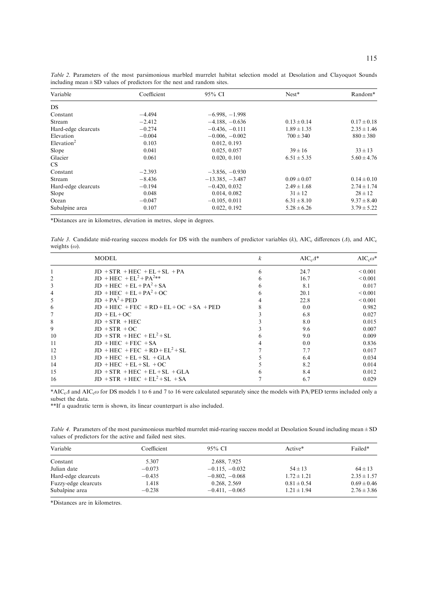| Variable                  | Coefficient | 95% CI            | $Nest*$         | Random*         |
|---------------------------|-------------|-------------------|-----------------|-----------------|
| DS.                       |             |                   |                 |                 |
| Constant                  | $-4.494$    | $-6.998, -1.998$  |                 |                 |
| Stream                    | $-2.412$    | $-4.188, -0.636$  | $0.13 \pm 0.14$ | $0.17 \pm 0.18$ |
| Hard-edge clearcuts       | $-0.274$    | $-0.436, -0.111$  | $1.89 \pm 1.35$ | $2.35 \pm 1.46$ |
| Elevation                 | $-0.004$    | $-0.006, -0.002$  | $700 \pm 340$   | $880 \pm 380$   |
| $E$ levation <sup>2</sup> | 0.103       | 0.012, 0.193      |                 |                 |
| Slope                     | 0.041       | 0.025, 0.057      | $39 \pm 16$     | $33 \pm 13$     |
| Glacier                   | 0.061       | 0.020, 0.101      | $6.51 \pm 5.35$ | $5.60 \pm 4.76$ |
| CS.                       |             |                   |                 |                 |
| Constant                  | $-2.393$    | $-3.856, -0.930$  |                 |                 |
| Stream                    | $-8.436$    | $-13.385, -3.487$ | $0.09 \pm 0.07$ | $0.14 \pm 0.10$ |
| Hard-edge clearcuts       | $-0.194$    | $-0.420, 0.032$   | $2.49 \pm 1.68$ | $2.74 \pm 1.74$ |
| Slope                     | 0.048       | 0.014, 0.082      | $31 \pm 12$     | $28 \pm 12$     |
| Ocean                     | $-0.047$    | $-0.105, 0.011$   | $6.31 \pm 8.10$ | $9.37 \pm 8.40$ |
| Subalpine area            | 0.107       | 0.022, 0.192      | $5.28 \pm 6.26$ | $3.79 \pm 5.22$ |

Table 2. Parameters of the most parsimonious marbled murrelet habitat selection model at Desolation and Clayoquot Sounds including mean $\pm$ SD values of predictors for the nest and random sites.

\*Distances are in kilometres, elevation in metres, slope in degrees.

Table 3. Candidate mid-rearing success models for DS with the numbers of predictor variables (k), AIC<sub>c</sub> differences ( $\Delta$ ), and AIC<sub>c</sub> weights  $(\omega)$ .

|    | <b>MODEL</b>                                     | k | $AIC_{c}\Delta^*$ | $AIC_{c}\omega^*$ |
|----|--------------------------------------------------|---|-------------------|-------------------|
|    | $JD + STR + HEC + EL + SL + PA$                  |   | 24.7              | ${}_{0.001}$      |
|    | $JD$ + HEC + EL <sup>2</sup> + PA <sup>2**</sup> |   | 16.7              | ${}_{0.001}$      |
| 3  | $JD$ + HEC + EL + PA <sup>2</sup> + SA           |   | 8.1               | 0.017             |
| 4  | $JD$ + HEC + EL + PA <sup>2</sup> + OC           |   | 20.1              | ${}_{0.001}$      |
| 5  | $ID + PA^2 + PED$                                |   | 22.8              | ${}_{0.001}$      |
| 6  | $JD$ + HEC + FEC + RD + EL + OC + SA + PED       |   | 0.0               | 0.982             |
|    | $JD + EL + OC$                                   |   | 6.8               | 0.027             |
| 8  | $JD + STR + HEC$                                 |   | 8.0               | 0.015             |
| 9  | $JD + STR + OC$                                  |   | 9.6               | 0.007             |
| 10 | $JD + STR + HEC + EL^2 + SL$                     |   | 9.0               | 0.009             |
| 11 | $JD + HEC + FEC + SA$                            |   | 0.0               | 0.836             |
| 12 | $JD + HEC + FEC + RD + EL^2 + SL$                |   | 7.7               | 0.017             |
| 13 | $JD + HEC + EL + SL + GLA$                       |   | 6.4               | 0.034             |
| 14 | $JD + HEC + EL + SL + OC$                        |   | 8.2               | 0.014             |
| 15 | $JD + STR + HEC + EL + SL + GLA$                 |   | 8.4               | 0.012             |
| 16 | $JD + STR + HEC + EL^2 + SL + SA$                |   | 6.7               | 0.029             |

\*AIC<sub>c</sub> $\Delta$  and AIC<sub>c</sub> $\omega$  for DS models 1 to 6 and 7 to 16 were calculated separately since the models with PA/PED terms included only a subset the data.

\*\*If a quadratic term is shown, its linear counterpart is also included.

Table 4. Parameters of the most parsimonious marbled murrelet mid-rearing success model at Desolation Sound including mean  $\pm$  SD values of predictors for the active and failed nest sites.

| Variable             | Coefficient | 95% CI           | Active*         | Failed*         |
|----------------------|-------------|------------------|-----------------|-----------------|
| Constant             | 5.307       | 2.688, 7.925     |                 |                 |
| Julian date          | $-0.073$    | $-0.115, -0.032$ | $54 \pm 13$     | $64 \pm 13$     |
| Hard-edge clearcuts  | $-0.435$    | $-0.802, -0.068$ | $1.72 \pm 1.21$ | $2.35 \pm 1.57$ |
| Fuzzy-edge clearcuts | 1.418       | 0.268, 2.569     | $0.81 \pm 0.54$ | $0.69 \pm 0.46$ |
| Subalpine area       | $-0.238$    | $-0.411, -0.065$ | $1.21 \pm 1.94$ | $2.76 \pm 3.86$ |

\*Distances are in kilometres.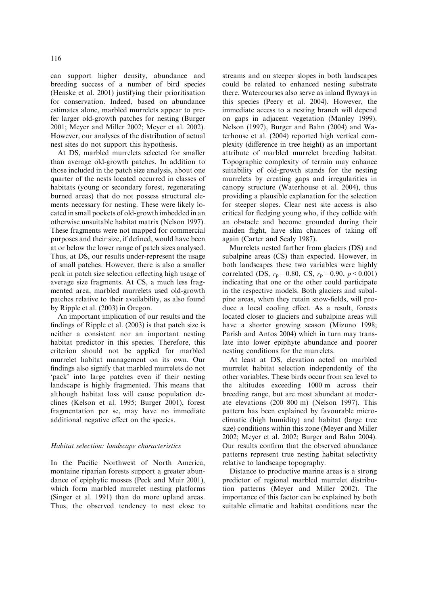can support higher density, abundance and breeding success of a number of bird species (Henske et al. 2001) justifying their prioritisation for conservation. Indeed, based on abundance estimates alone, marbled murrelets appear to prefer larger old-growth patches for nesting (Burger 2001; Meyer and Miller 2002; Meyer et al. 2002). However, our analyses of the distribution of actual nest sites do not support this hypothesis.

At DS, marbled murrelets selected for smaller than average old-growth patches. In addition to those included in the patch size analysis, about one quarter of the nests located occurred in classes of habitats (young or secondary forest, regenerating burned areas) that do not possess structural elements necessary for nesting. These were likely located in small pockets of old-growth imbedded in an otherwise unsuitable habitat matrix (Nelson 1997). These fragments were not mapped for commercial purposes and their size, if defined, would have been at or below the lower range of patch sizes analysed. Thus, at DS, our results under-represent the usage of small patches. However, there is also a smaller peak in patch size selection reflecting high usage of average size fragments. At CS, a much less fragmented area, marbled murrelets used old-growth patches relative to their availability, as also found by Ripple et al. (2003) in Oregon.

An important implication of our results and the findings of Ripple et al. (2003) is that patch size is neither a consistent nor an important nesting habitat predictor in this species. Therefore, this criterion should not be applied for marbled murrelet habitat management on its own. Our findings also signify that marbled murrelets do not 'pack' into large patches even if their nesting landscape is highly fragmented. This means that although habitat loss will cause population declines (Kelson et al. 1995; Burger 2001), forest fragmentation per se, may have no immediate additional negative effect on the species.

### Habitat selection: landscape characteristics

In the Pacific Northwest of North America, montaine riparian forests support a greater abundance of epiphytic mosses (Peck and Muir 2001), which form marbled murrelet nesting platforms (Singer et al. 1991) than do more upland areas. Thus, the observed tendency to nest close to

streams and on steeper slopes in both landscapes could be related to enhanced nesting substrate there. Watercourses also serve as inland flyways in this species (Peery et al. 2004). However, the immediate access to a nesting branch will depend on gaps in adjacent vegetation (Manley 1999). Nelson (1997), Burger and Bahn (2004) and Waterhouse et al. (2004) reported high vertical complexity (difference in tree height) as an important attribute of marbled murrelet breeding habitat. Topographic complexity of terrain may enhance suitability of old-growth stands for the nesting murrelets by creating gaps and irregularities in canopy structure (Waterhouse et al. 2004), thus providing a plausible explanation for the selection for steeper slopes. Clear nest site access is also critical for fledging young who, if they collide with an obstacle and become grounded during their maiden flight, have slim chances of taking off again (Carter and Sealy 1987).

Murrelets nested farther from glaciers (DS) and subalpine areas (CS) than expected. However, in both landscapes these two variables were highly correlated (DS,  $r_p = 0.80$ , CS,  $r_p = 0.90$ ,  $p < 0.001$ ) indicating that one or the other could participate in the respective models. Both glaciers and subalpine areas, when they retain snow-fields, will produce a local cooling effect. As a result, forests located closer to glaciers and subalpine areas will have a shorter growing season (Mizuno 1998; Parish and Antos 2004) which in turn may translate into lower epiphyte abundance and poorer nesting conditions for the murrelets.

At least at DS, elevation acted on marbled murrelet habitat selection independently of the other variables. These birds occur from sea level to the altitudes exceeding 1000 m across their breeding range, but are most abundant at moderate elevations (200–800 m) (Nelson 1997). This pattern has been explained by favourable microclimatic (high humidity) and habitat (large tree size) conditions within this zone (Meyer and Miller 2002; Meyer et al. 2002; Burger and Bahn 2004). Our results confirm that the observed abundance patterns represent true nesting habitat selectivity relative to landscape topography.

Distance to productive marine areas is a strong predictor of regional marbled murrelet distribution patterns (Meyer and Miller 2002). The importance of this factor can be explained by both suitable climatic and habitat conditions near the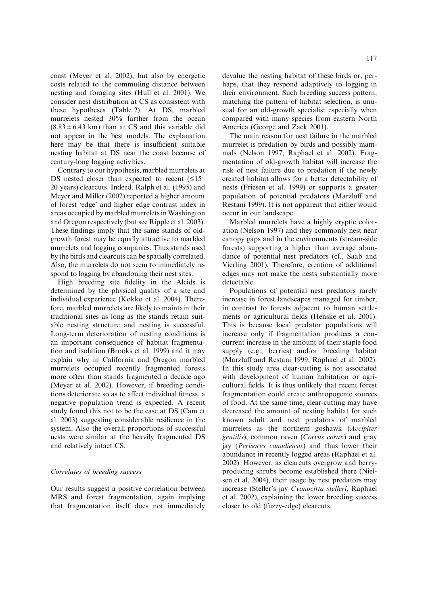coast (Meyer et al. 2002), but also by energetic costs related to the commuting distance between nesting and foraging sites (Hull et al. 2001). We consider nest distribution at CS as consistent with these hypotheses (Table 2). At DS, marbled murrelets nested 30% farther from the ocean  $(8.83 \pm 6.43 \text{ km})$  than at CS and this variable did not appear in the best models. The explanation here may be that there is insufficient suitable nesting habitat at DS near the coast because of century-long logging activities.

Contrary to our hypothesis, marbled murrelets at DS nested closer than expected to recent  $(15-$ 20 years) clearcuts. Indeed, Ralph et al. (1995) and Meyer and Miller (2002) reported a higher amount of forest 'edge' and higher edge contrast index in areas occupied by marbled murrelets inWashington and Oregon respectively (but see Ripple et al. 2003). These findings imply that the same stands of oldgrowth forest may be equally attractive to marbled murrelets and logging companies. Thus stands used by the birds and clearcuts can be spatially correlated. Also, the murrelets do not seem to immediately respond to logging by abandoning their nest sites.

High breeding site fidelity in the Alcids is determined by the physical quality of a site and individual experience (Kokko et al. 2004). Therefore, marbled murrelets are likely to maintain their traditional sites as long as the stands retain suitable nesting structure and nesting is successful. Long-term deterioration of nesting conditions is an important consequence of habitat fragmentation and isolation (Brooks et al. 1999) and it may explain why in California and Oregon marbled murrelets occupied recently fragmented forests more often than stands fragmented a decade ago (Meyer et al. 2002). However, if breeding conditions deteriorate so as to affect individual fitness, a negative population trend is expected. A recent study found this not to be the case at DS (Cam et al. 2003) suggesting considerable resilience in the system. Also the overall proportions of successful nests were similar at the heavily fragmented DS and relatively intact CS.

#### Correlates of breeding success

Our results suggest a positive correlation between MRS and forest fragmentation, again implying that fragmentation itself does not immediately

devalue the nesting habitat of these birds or, perhaps, that they respond adaptively to logging in their environment. Such breeding success pattern, matching the pattern of habitat selection, is unusual for an old-growth specialist especially when compared with many species from eastern North America (George and Zack 2001).

The main reason for nest failure in the marbled murrelet is predation by birds and possibly mammals (Nelson 1997; Raphael et al. 2002). Fragmentation of old-growth habitat will increase the risk of nest failure due to predation if the newly created habitat allows for a better detectability of nests (Friesen et al. 1999) or supports a greater population of potential predators (Marzluff and Restani 1999). It is not apparent that either would occur in our landscape.

Marbled murrelets have a highly cryptic coloration (Nelson 1997) and they commonly nest near canopy gaps and in the environments (stream-side forests) supporting a higher than average abundance of potential nest predators (cf., Saab and Vierling 2001). Therefore, creation of additional edges may not make the nests substantially more detectable.

Populations of potential nest predators rarely increase in forest landscapes managed for timber, in contrast to forests adjacent to human settlements or agricultural fields (Henske et al. 2001). This is because local predator populations will increase only if fragmentation produces a concurrent increase in the amount of their staple food supply (e.g., berries) and/or breeding habitat (Marzluff and Restani 1999; Raphael et al. 2002). In this study area clear-cutting is not associated with development of human habitation or agricultural fields. It is thus unlikely that recent forest fragmentation could create anthropogenic sources of food. At the same time, clear-cutting may have decreased the amount of nesting habitat for such known adult and nest predators of marbled murrelets as the northern goshawk (Accipiter gentilis), common raven (Corvus corax) and gray jay (Perisores canadiensis) and thus lower their abundance in recently logged areas (Raphael et al. 2002). However, as clearcuts overgrow and berryproducing shrubs become established there (Nielsen et al. 2004), their usage by nest predators may increase (Steller's jay Cyanocitta stelleri, Raphael et al. 2002), explaining the lower breeding success closer to old (fuzzy-edge) clearcuts.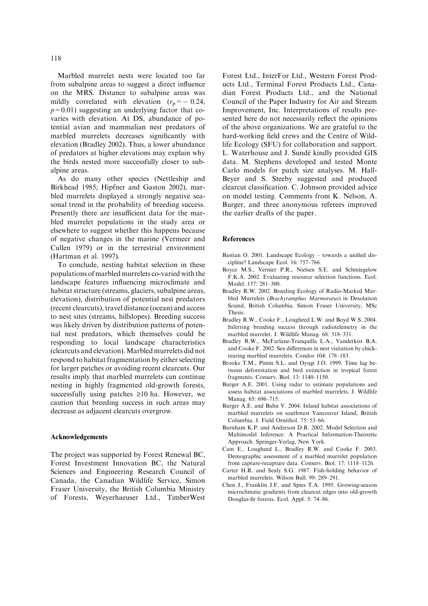Marbled murrelet nests were located too far from subalpine areas to suggest a direct influence on the MRS. Distance to subalpine areas was mildly correlated with elevation  $(r_p = -0.24,$  $p=0.01$ ) suggesting an underlying factor that covaries with elevation. At DS, abundance of potential avian and mammalian nest predators of marbled murrelets decreases significantly with elevation (Bradley 2002). Thus, a lower abundance of predators at higher elevations may explain why the birds nested more successfully closer to subalpine areas.

As do many other species (Nettleship and Birkhead 1985; Hipfner and Gaston 2002), marbled murrelets displayed a strongly negative seasonal trend in the probability of breeding success. Presently there are insufficient data for the marbled murrelet populations in the study area or elsewhere to suggest whether this happens because of negative changes in the marine (Vermeer and Cullen 1979) or in the terrestrial environment (Hartman et al. 1997).

To conclude, nesting habitat selection in these populations of marbled murrelets co-varied with the landscape features influencing microclimate and habitat structure (streams, glaciers, subalpine areas, elevation), distribution of potential nest predators (recent clearcuts), travel distance (ocean) and access to nest sites (streams, hillslopes). Breeding success was likely driven by distribution patterns of potential nest predators, which themselves could be responding to local landscape characteristics (clearcuts and elevation).Marbled murrelets did not respond to habitat fragmentation by either selecting for larger patches or avoiding recent clearcuts. Our results imply that marbled murrelets can continue nesting in highly fragmented old-growth forests, successfully using patches  $\geq 10$  ha. However, we caution that breeding success in such areas may decrease as adjacent clearcuts overgrow.

#### Acknowledgements

The project was supported by Forest Renewal BC, Forest Investment Innovation BC, the Natural Sciences and Engineering Research Council of Canada, the Canadian Wildlife Service, Simon Fraser University, the British Columbia Ministry of Forests, Weyerhaeuser Ltd., TimberWest

Forest Ltd., InterFor Ltd., Western Forest Products Ltd., Terminal Forest Products Ltd., Canadian Forest Products Ltd., and the National Council of the Paper Industry for Air and Stream Improvement, Inc. Interpretations of results presented here do not necessarily reflect the opinions of the above organizations. We are grateful to the hard-working field crews and the Centre of Wildlife Ecology (SFU) for collaboration and support. L. Waterhouse and J. Sundé kindly provided GIS data. M. Stephens developed and tested Monte Carlo models for patch size analyses. M. Hall-Beyer and S. Steeby suggested and produced clearcut classification. C. Johnson provided advice on model testing. Comments from K. Nelson, A. Burger, and three anonymous referees improved the earlier drafts of the paper.

#### References

- Bastian O. 2001. Landscape Ecology towards a unified discipline? Landscape Ecol. 16: 757–766.
- Boyce M.S., Vernier P.R., Nielsen S.E. and Schmiegelow F.K.A. 2002. Evaluating resource selection functions. Ecol. Model. 157: 281–300.
- Bradley R.W. 2002. Breeding Ecology of Radio-Marked Marbled Murrelets (Brachyramphus Marmoratus) in Desolation Sound, British Columbia. Simon Fraser University, MSc Thesis.
- Bradley R.W., Cooke F., Lougheed L.W. and Boyd W.S. 2004. Inferring breeding success through radiotelemetry in the marbled murrelet. J. Wildlife Manag. 68: 318–331.
- Bradley R.W., McFarlane-Tranquilla L.A., Vanderkist B.A. and Cooke F. 2002. Sex differences in nest visitation by chickrearing marbled murrelets. Condor 104: 178–183.
- Brooks T.M., Pimm S.L. and Oyugi J.O. 1999. Time lag between deforestation and bird extinction in tropical forest fragments. Conserv. Biol. 13: 1140–1150.
- Burger A.E. 2001. Using radar to estimate populations and assess habitat associations of marbled murrelets. J. Wildlife Manag. 65: 696–715.
- Burger A.E. and Bahn V. 2004. Inland habitat associations of marbled murrelets on southwest Vancouver Island, British Columbia. J. Field Ornithol. 75: 53–66.
- Burnham K.P. and Anderson D.R. 2002. Model Selection and Multimodel Inference: A Practical Information-Theoretic Approach. Springer-Verlag, New York.
- Cam E., Lougheed L., Bradley R.W. and Cooke F. 2003. Demographic assessment of a marbled murrelet population from capture-recapture data. Conserv. Biol. 17: 1118–1126.
- Carter H.R. and Sealy S.G. 1987. Fish-holding behavior of marbled murrelets. Wilson Bull. 99: 289–291.
- Chen J., Franklin J.F. and Spies T.A. 1995. Growing-season microclimatic gradients from clearcut edges into old-growth Douglas-fir forests. Ecol. Appl. 5: 74–86.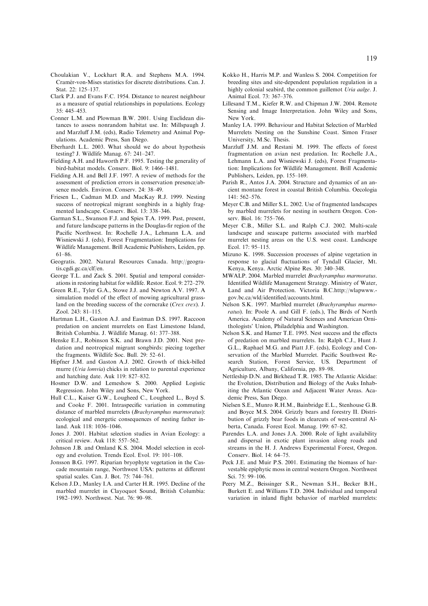- Choulakian V., Lockhart R.A. and Stephens M.A. 1994. Cramér-von-Mises statistics for discrete distributions. Can. J. Stat. 22: 125–137.
- Clark P.J. and Evans F.C. 1954. Distance to nearest neighbour as a measure of spatial relationships in populations. Ecology 35: 445–453.
- Conner L.M. and Plowman B.W. 2001. Using Euclidean distances to assess nonrandom habitat use. In: Millspaugh J. and Marzluff J.M. (eds), Radio Telemetry and Animal Populations. Academic Press, San Diego.
- Eberhardt L.L. 2003. What should we do about hypothesis testing? J. Wildlife Manag. 67: 241–247.
- Fielding A.H. and Haworth P.F. 1995. Testing the generality of bird-habitat models. Conserv. Biol. 9: 1466–1481.
- Fielding A.H. and Bell J.F. 1997. A review of methods for the assessment of prediction errors in conservation presence/absence models. Environ. Conserv. 24: 38–49.
- Friesen L., Cadman M.D. and MacKay R.J. 1999. Nesting success of neotropical migrant songbirds in a highly fragmented landscape. Conserv. Biol. 13: 338–346.
- Garman S.L., Swanson F.J. and Spies T.A. 1999. Past, present, and future landscape patterns in the Douglas-fir region of the Pacific Northwest. In: Rochelle J.A., Lehmann L.A. and Wisniewski J. (eds), Forest Fragmentation: Implications for Wildlife Management. Brill Academic Publishers, Leiden, pp. 61–86.
- Geogratis. 2002. Natural Resources Canada. http://geogratis.cgdi.gc.ca/clf/en.
- George T.L. and Zack S. 2001. Spatial and temporal considerations in restoring habitat for wildlife. Restor. Ecol. 9: 272–279.
- Green R.E., Tyler G.A., Stowe J.J. and Newton A.V. 1997. A simulation model of the effect of mowing agricultural grassland on the breeding success of the corncrake (Crex crex). J. Zool. 243: 81–115.
- Hartman L.H., Gaston A.J. and Eastman D.S. 1997. Raccoon predation on ancient murrelets on East Limestone Island, British Columbia. J. Wildlife Manag. 61: 377–388.
- Henske E.J., Robinson S.K. and Brawn J.D. 2001. Nest predation and neotropical migrant songbirds: piecing together the fragments. Wildlife Soc. Bull. 29: 52–61.
- Hipfner J.M. and Gaston A.J. 2002. Growth of thick-billed murre (Uria lomvia) chicks in relation to parental experience and hatching date. Auk 119: 827–832.
- Hosmer D.W. and Lemeshow S. 2000. Applied Logistic Regression. John Wiley and Sons, New York.
- Hull C.L., Kaiser G.W., Lougheed C., Lougheed L., Boyd S. and Cooke F. 2001. Intraspecific variation in commuting distance of marbled murrelets (Brachyramphus marmoratus): ecological and energetic consequences of nesting father inland. Auk 118: 1036–1046.
- Jones J. 2001. Habitat selection studies in Avian Ecology: a critical review. Auk 118: 557–562.
- Johnson J.B. and Omland K.S. 2004. Model selection in ecology and evolution. Trends Ecol. Evol. 19: 101–108.
- Jonsson B.G. 1997. Riparian bryophyte vegetation in the Cascade mountain range, Northwest USA: patterns at different spatial scales. Can. J. Bot. 75: 744–761.
- Kelson J.D., Manley I.A. and Carter H.R. 1995. Decline of the marbled murrelet in Clayoquot Sound, British Columbia: 1982–1993. Northwest. Nat. 76: 90–98.
- Kokko H., Harris M.P. and Wanless S. 2004. Competition for breeding sites and site-dependent population regulation in a highly colonial seabird, the common guillemot Uria aalge. J. Animal Ecol. 73: 367–376.
- Lillesand T.M., Kiefer R.W. and Chipman J.W. 2004. Remote Sensing and Image Interpretation. John Wiley and Sons, New York.
- Manley I.A. 1999. Behaviour and Habitat Selection of Marbled Murrelets Nesting on the Sunshine Coast. Simon Fraser University, M.Sc. Thesis.
- Marzluff J.M. and Restani M. 1999. The effects of forest fragmentation on avian nest predation. In: Rochelle J.A., Lehmann L.A. and Wisniewski J. (eds), Forest Fragmentation: Implications for Wildlife Management. Brill Academic Publishers, Leiden, pp. 155–169.
- Parish R., Antos J.A. 2004. Structure and dynamics of an ancient montane forest in coastal British Columbia. Oecologia  $141 \cdot 562 - 576$
- Meyer C.B. and Miller S.L. 2002. Use of fragmented landscapes by marbled murrelets for nesting in southern Oregon. Conserv. Biol. 16: 755–766.
- Meyer C.B., Miller S.L. and Ralph C.J. 2002. Multi-scale landscape and seascape patterns associated with marbled murrelet nesting areas on the U.S. west coast. Landscape Ecol. 17: 95–115.
- Mizuno K. 1998. Succession processes of alpine vegetation in response to glacial fluctuations of Tyndall Glacier, Mt. Kenya, Kenya. Arctic Alpine Res. 30: 340–348.
- MWALP. 2004. Marbled murrelet Brachyramphus marmoratus. Identified Wildlife Management Strategy. Ministry of Water, Land and Air Protection. Victoria B.C.http://wlapwww. gov.bc.ca/wld/identified/accounts.html.
- Nelson S.K. 1997. Marbled murrelet (Brachyramphus marmoratus). In: Poole A. and Gill F. (eds.), The Birds of North America. Academy of Natural Sciences and American Ornithologists' Union, Philadelphia and Washington.
- Nelson S.K. and Hamer T.E. 1995. Nest success and the effects of predation on marbled murrelets. In: Ralph C.J., Hunt J. G.L., Raphael M.G. and Piatt J.F. (eds), Ecology and Conservation of the Marbled Murrelet. Pacific Southwest Research Station, Forest Service, US. Department of Agriculture, Albany, California, pp. 89–98.
- Nettleship D.N. and Birkhead T.R. 1985. The Atlantic Alcidae: the Evolution, Distribution and Biology of the Auks Inhabiting the Atlantic Ocean and Adjacent Water Areas. Academic Press, San Diego.
- Nielsen S.E., Munro R.H.M., Bainbridge E.L., Stenhouse G.B. and Boyce M.S. 2004. Grizzly bears and forestry II. Distribution of grizzly bear foods in clearcuts of west-central Alberta, Canada. Forest Ecol. Manag. 199: 67–82.
- Parendes L.A. and Jones J.A. 2000. Role of light availability and dispersal in exotic plant invasion along roads and streams in the H. J. Andrews Experimental Forest, Oregon. Conserv. Biol. 14: 64–75.
- Peck J.E. and Muir P.S. 2001. Estimating the biomass of harvestable epiphytic moss in central western Oregon. Northwest Sci. 75: 99–106.
- Peery M.Z., Beissinger S.R., Newman S.H., Becker B.H., Burkett E. and Williams T.D. 2004. Individual and temporal variation in inland flight behavior of marbled murrelets: